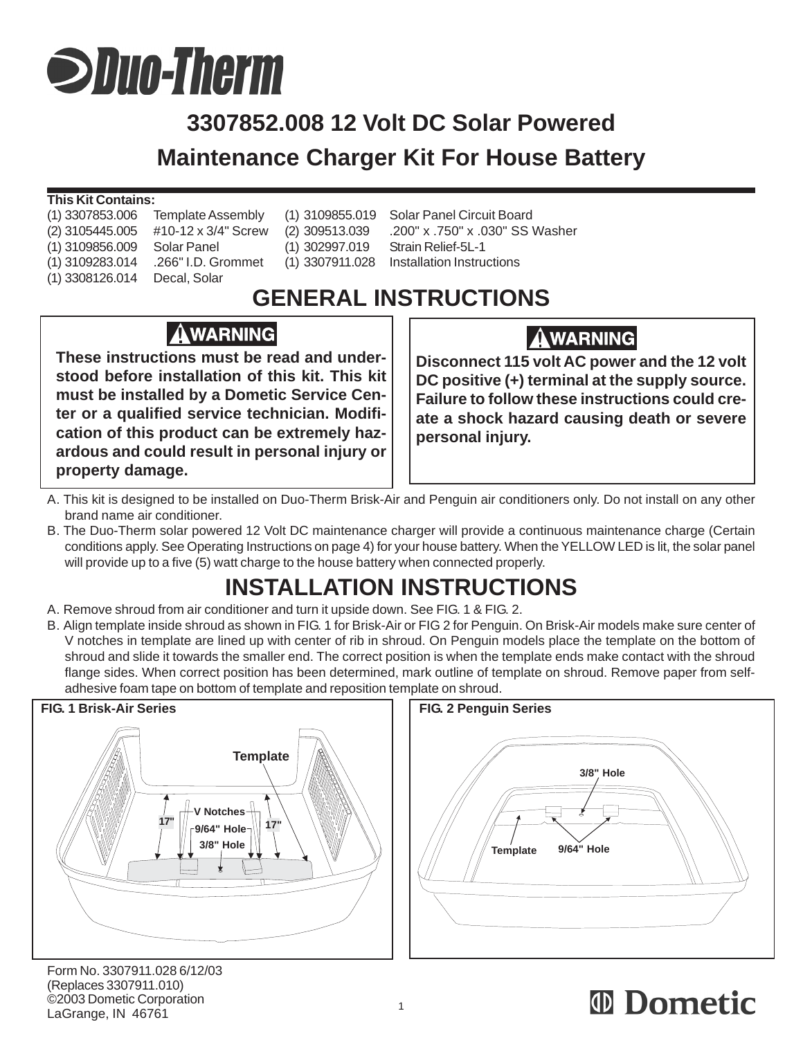# **Suun-Therm**

## **3307852.008 12 Volt DC Solar Powered Maintenance Charger Kit For House Battery**

#### **This Kit Contains:**

| (1) 3307853.006 | <b>Template Asser</b> |
|-----------------|-----------------------|
| (2) 3105445.005 | #10-12 x 3/4" S       |
| (1) 3109856.009 | <b>Solar Panel</b>    |
| (1) 3109283.014 | .266" I.D. Grom       |
| (1) 3308126.014 | Decal, Solar          |
|                 |                       |

mbly (1) 3109855.019 Solar Panel Circuit Board (1) 302997.019 Strain Relief-5L-1

(2) 3105445.005 #10-12 x 3/4" Screw (2) 309513.039 .200" x .750" x .030" SS Washer nmet (1) 3307911.028 Installation Instructions

## **GENERAL INSTRUCTIONS**

#### **AWARNING**

**These instructions must be read and understood before installation of this kit. This kit must be installed by a Dometic Service Center or a qualified service technician. Modification of this product can be extremely hazardous and could result in personal injury or property damage.**

#### **AWARNING**

**Disconnect 115 volt AC power and the 12 volt DC positive (+) terminal at the supply source. Failure to follow these instructions could create a shock hazard causing death or severe personal injury.**

- A. This kit is designed to be installed on Duo-Therm Brisk-Air and Penguin air conditioners only. Do not install on any other brand name air conditioner.
- B. The Duo-Therm solar powered 12 Volt DC maintenance charger will provide a continuous maintenance charge (Certain conditions apply. See Operating Instructions on page 4) for your house battery. When the YELLOW LED is lit, the solar panel will provide up to a five (5) watt charge to the house battery when connected properly.

## **INSTALLATION INSTRUCTIONS**

- A. Remove shroud from air conditioner and turn it upside down. See FIG. 1 & FIG. 2.
- B. Align template inside shroud as shown in FIG. 1 for Brisk-Air or FIG 2 for Penguin. On Brisk-Air models make sure center of V notches in template are lined up with center of rib in shroud. On Penguin models place the template on the bottom of shroud and slide it towards the smaller end. The correct position is when the template ends make contact with the shroud flange sides. When correct position has been determined, mark outline of template on shroud. Remove paper from selfadhesive foam tape on bottom of template and reposition template on shroud.



Form No. 3307911.028 6/12/03 (Replaces 3307911.010) ©2003 Dometic Corporation LaGrange, IN 46761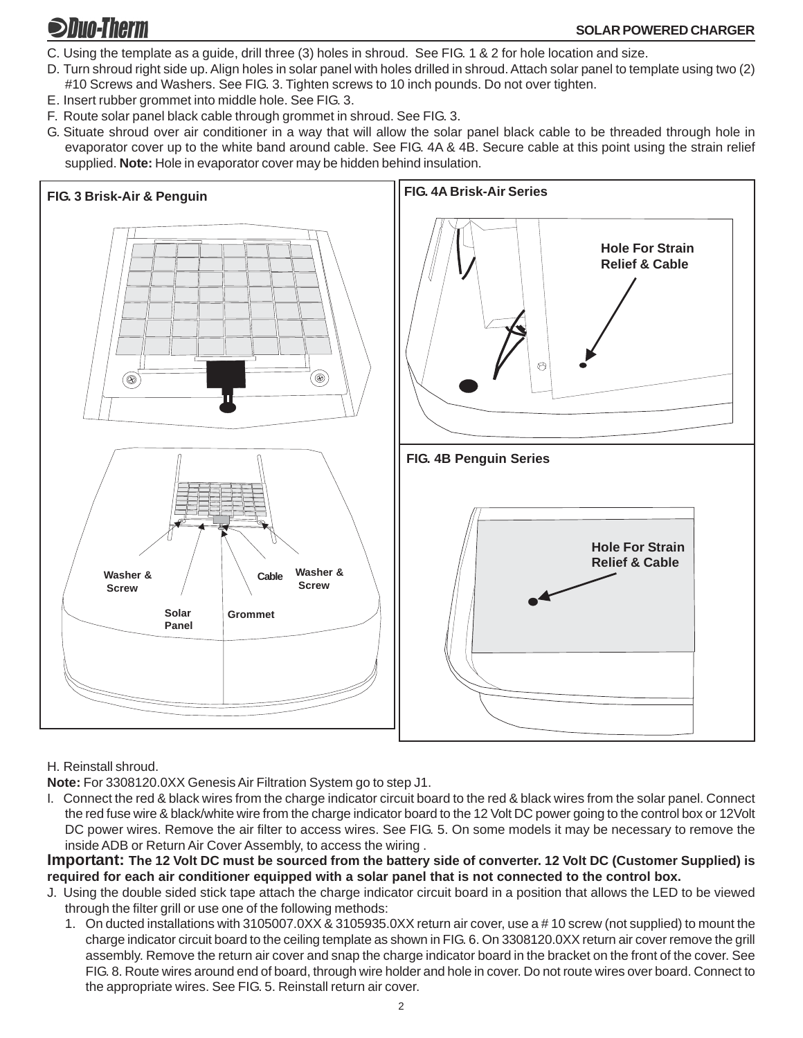### **SDuo-Therm**

- C. Using the template as a guide, drill three (3) holes in shroud. See FIG. 1 & 2 for hole location and size.
- D. Turn shroud right side up. Align holes in solar panel with holes drilled in shroud. Attach solar panel to template using two (2) #10 Screws and Washers. See FIG. 3. Tighten screws to 10 inch pounds. Do not over tighten.
- E. Insert rubber grommet into middle hole. See FIG. 3.
- F. Route solar panel black cable through grommet in shroud. See FIG. 3.
- G. Situate shroud over air conditioner in a way that will allow the solar panel black cable to be threaded through hole in evaporator cover up to the white band around cable. See FIG. 4A & 4B. Secure cable at this point using the strain relief supplied. **Note:** Hole in evaporator cover may be hidden behind insulation.



H. Reinstall shroud.

**Note:** For 3308120.0XX Genesis Air Filtration System go to step J1.

I. Connect the red & black wires from the charge indicator circuit board to the red & black wires from the solar panel. Connect the red fuse wire & black/white wire from the charge indicator board to the 12 Volt DC power going to the control box or 12Volt DC power wires. Remove the air filter to access wires. See FIG. 5. On some models it may be necessary to remove the inside ADB or Return Air Cover Assembly, to access the wiring .

**Important: The 12 Volt DC must be sourced from the battery side of converter. 12 Volt DC (Customer Supplied) is required for each air conditioner equipped with a solar panel that is not connected to the control box.**

- J. Using the double sided stick tape attach the charge indicator circuit board in a position that allows the LED to be viewed through the filter grill or use one of the following methods:
	- 1. On ducted installations with 3105007.0XX & 3105935.0XX return air cover, use a # 10 screw (not supplied) to mount the charge indicator circuit board to the ceiling template as shown in FIG. 6. On 3308120.0XX return air cover remove the grill assembly. Remove the return air cover and snap the charge indicator board in the bracket on the front of the cover. See FIG. 8. Route wires around end of board, through wire holder and hole in cover. Do not route wires over board. Connect to the appropriate wires. See FIG. 5. Reinstall return air cover.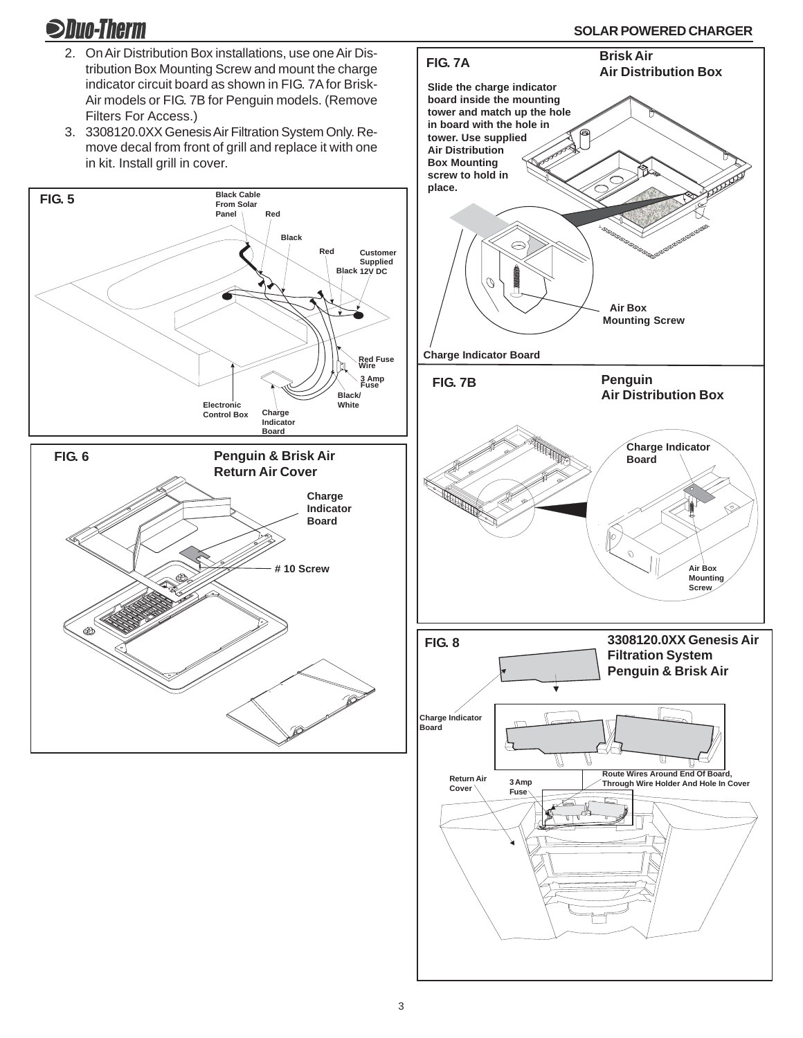**Shun-Therm** 

- 2. On Air Distribution Box installations, use one Air Distribution Box Mounting Screw and mount the charge indicator circuit board as shown in FIG. 7A for Brisk-Air models or FIG. 7B for Penguin models. (Remove Filters For Access.)
- 3. 3308120.0XX Genesis Air Filtration System Only. Remove decal from front of grill and replace it with one in kit. Install grill in cover.



**SOLAR POWERED CHARGER FIG. 7A Brisk Air Air Distribution Box Slide the charge indicator board inside the mounting tower and match up the hole in board with the hole in tower. Use supplied**

> **Air Box Mounting Screw**



**Charge Indicator Board**

Ŋ

**Air Distribution Box Mounting screw to hold in**

**place.**

**3308120.0XX Genesis Air Filtration System Penguin & Brisk Air Charge Indicator Board FIG. 8 3 Amp Fuse Return Air** Cover **Route Wires Around End Of Board, Through Wire Holder And Hole In Cover**